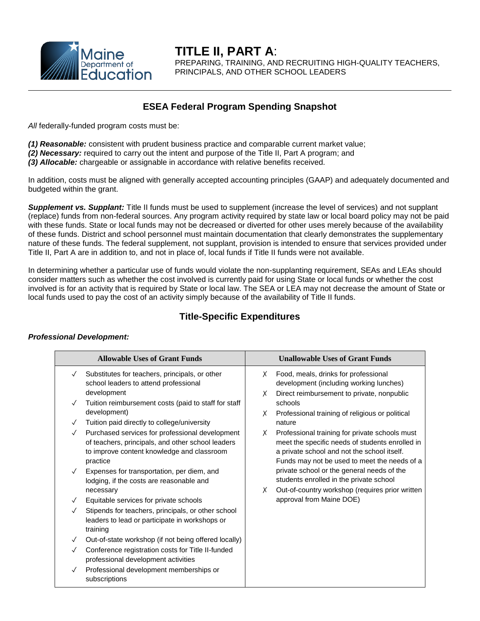

**TITLE II, PART A**: PREPARING, TRAINING, AND RECRUITING HIGH-QUALITY TEACHERS, PRINCIPALS, AND OTHER SCHOOL LEADERS

# **ESEA Federal Program Spending Snapshot**

*All* federally-funded program costs must be:

*(1) Reasonable:* consistent with prudent business practice and comparable current market value;

*(2) Necessary:* required to carry out the intent and purpose of the Title II, Part A program; and

*(3) Allocable:* chargeable or assignable in accordance with relative benefits received.

In addition, costs must be aligned with generally accepted accounting principles (GAAP) and adequately documented and budgeted within the grant.

*Supplement vs. Supplant:* Title II funds must be used to supplement (increase the level of services) and not supplant (replace) funds from non-federal sources. Any program activity required by state law or local board policy may not be paid with these funds. State or local funds may not be decreased or diverted for other uses merely because of the availability of these funds. District and school personnel must maintain documentation that clearly demonstrates the supplementary nature of these funds. The federal supplement, not supplant, provision is intended to ensure that services provided under Title II, Part A are in addition to, and not in place of, local funds if Title II funds were not available.

In determining whether a particular use of funds would violate the non-supplanting requirement, SEAs and LEAs should consider matters such as whether the cost involved is currently paid for using State or local funds or whether the cost involved is for an activity that is required by State or local law. The SEA or LEA may not decrease the amount of State or local funds used to pay the cost of an activity simply because of the availability of Title II funds.

# **Title-Specific Expenditures**

#### *Professional Development:*

| <b>Allowable Uses of Grant Funds</b> |                                                                                                                                                                | <b>Unallowable Uses of Grant Funds</b> |                                                                                                                                                                                                  |
|--------------------------------------|----------------------------------------------------------------------------------------------------------------------------------------------------------------|----------------------------------------|--------------------------------------------------------------------------------------------------------------------------------------------------------------------------------------------------|
| $\checkmark$                         | Substitutes for teachers, principals, or other<br>school leaders to attend professional<br>development                                                         | X<br>X                                 | Food, meals, drinks for professional<br>development (including working lunches)<br>Direct reimbursement to private, nonpublic                                                                    |
| $\checkmark$                         | Tuition reimbursement costs (paid to staff for staff<br>development)                                                                                           |                                        | schools                                                                                                                                                                                          |
| $\checkmark$                         | Tuition paid directly to college/university                                                                                                                    | X                                      | Professional training of religious or political<br>nature                                                                                                                                        |
| $\checkmark$                         | Purchased services for professional development<br>of teachers, principals, and other school leaders<br>to improve content knowledge and classroom<br>practice | X                                      | Professional training for private schools must<br>meet the specific needs of students enrolled in<br>a private school and not the school itself.<br>Funds may not be used to meet the needs of a |
| $\checkmark$                         | Expenses for transportation, per diem, and<br>lodging, if the costs are reasonable and                                                                         | X                                      | private school or the general needs of the<br>students enrolled in the private school                                                                                                            |
|                                      | necessary<br>Equitable services for private schools                                                                                                            |                                        | Out-of-country workshop (requires prior written<br>approval from Maine DOE)                                                                                                                      |
|                                      | Stipends for teachers, principals, or other school<br>leaders to lead or participate in workshops or<br>training                                               |                                        |                                                                                                                                                                                                  |
| $\checkmark$                         | Out-of-state workshop (if not being offered locally)                                                                                                           |                                        |                                                                                                                                                                                                  |
| $\checkmark$                         | Conference registration costs for Title II-funded<br>professional development activities                                                                       |                                        |                                                                                                                                                                                                  |
| $\checkmark$                         | Professional development memberships or<br>subscriptions                                                                                                       |                                        |                                                                                                                                                                                                  |